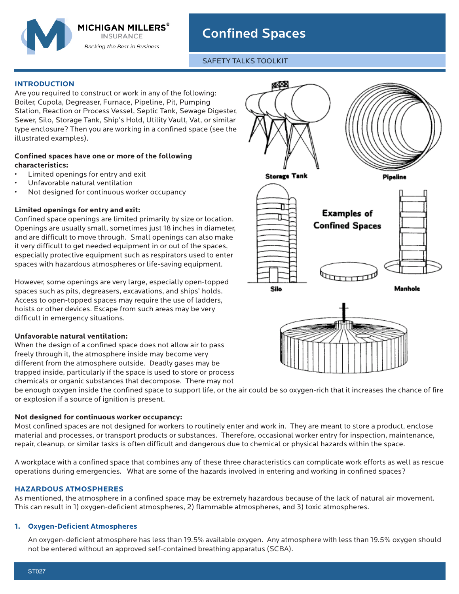**MICHIGAN MILLERS** $^\circ$ **INSURANCE Backing the Best in Business** 

# Confined Spaces

SAFETY TALKS TOOLKIT

# **INTRODUCTION**

Are you required to construct or work in any of the following: Boiler, Cupola, Degreaser, Furnace, Pipeline, Pit, Pumping Station, Reaction or Process Vessel, Septic Tank, Sewage Digester, Sewer, Silo, Storage Tank, Ship's Hold, Utility Vault, Vat, or similar type enclosure? Then you are working in a confined space (see the illustrated examples).

# **Confined spaces have one or more of the following characteristics:**

- Limited openings for entry and exit
- Unfavorable natural ventilation
- Not designed for continuous worker occupancy

# **Limited openings for entry and exit:**

Confined space openings are limited primarily by size or location. Openings are usually small, sometimes just 18 inches in diameter, and are difficult to move through. Small openings can also make it very difficult to get needed equipment in or out of the spaces, especially protective equipment such as respirators used to enter spaces with hazardous atmospheres or life-saving equipment.

However, some openings are very large, especially open-topped spaces such as pits, degreasers, excavations, and ships' holds. Access to open-topped spaces may require the use of ladders, hoists or other devices. Escape from such areas may be very difficult in emergency situations.

# **Unfavorable natural ventilation:**

When the design of a confined space does not allow air to pass freely through it, the atmosphere inside may become very different from the atmosphere outside. Deadly gases may be trapped inside, particularly if the space is used to store or process chemicals or organic substances that decompose. There may not

be enough oxygen inside the confined space to support life, or the air could be so oxygen-rich that it increases the chance of fire or explosion if a source of ignition is present.

# **Not designed for continuous worker occupancy:**

Most confined spaces are not designed for workers to routinely enter and work in. They are meant to store a product, enclose material and processes, or transport products or substances. Therefore, occasional worker entry for inspection, maintenance, repair, cleanup, or similar tasks is often difficult and dangerous due to chemical or physical hazards within the space.

A workplace with a confined space that combines any of these three characteristics can complicate work efforts as well as rescue operations during emergencies. What are some of the hazards involved in entering and working in confined spaces?

# **HAZARDOUS ATMOSPHERES**

As mentioned, the atmosphere in a confined space may be extremely hazardous because of the lack of natural air movement. This can result in 1) oxygen-deficient atmospheres, 2) flammable atmospheres, and 3) toxic atmospheres.

#### **1. Oxygen-Deficient Atmospheres**

An oxygen-deficient atmosphere has less than 19.5% available oxygen. Any atmosphere with less than 19.5% oxygen should not be entered without an approved self-contained breathing apparatus (SCBA).



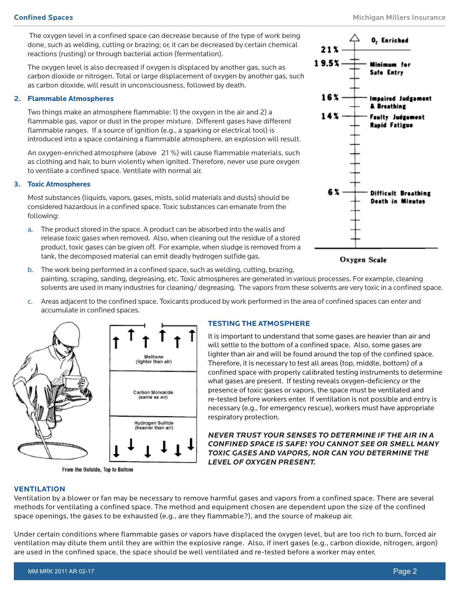The oxygen level in a confined space can decrease because of the type of work being done, such as welding, cutting or brazing; or, it can be decreased by certain chemical reactions (rusting) or through bacterial action (fermentation).

The oxygen level is also decreased if oxygen is displaced by another gas, such as carbon dioxide or nitrogen. Total or large displacement of oxygen by another gas, such as carbon dioxide, will result in unconsciousness, followed by death.

# **2. Flammable Atmospheres**

Two things make an atmosphere flammable: 1) the oxygen in the air and 2) a flammable gas, vapor or dust in the proper mixture. Different gases have different flammable ranges. If a source of ignition (e.g., a sparking or electrical tool) is introduced into a space containing a flammable atmosphere, an explosion will result.

An oxygen-enriched atmosphere (above 21 %) will cause flammable materials, such as clothing and hair, to burn violently when ignited. Therefore, never use pure oxygen to ventilate a confined space. Ventilate with normal air.

# **3. Toxic Atmospheres**

Most substances (liquids, vapors, gases, mists, solid materials and dusts) should be considered hazardous in a confined space. Toxic substances can emanate from the following:

a. The product stored in the space. A product can be absorbed into the walls and release toxic gases when removed. Also, when cleaning out the residue of a stored product, toxic gases can be given off. For example, when sludge is removed from a tank, the decomposed material can emit deadly hydrogen sulfide gas.



Oxygen Scale

- b. The work being performed in a confined space, such as welding, cutting, brazing, painting, scraping, sanding, degreasing, etc. Toxic atmospheres are generated in various processes. For example, cleaning solvents are used in many industries for cleaning/ degreasing. The vapors from these solvents are very toxic in a confined space.
- c. Areas adjacent to the confined space. Toxicants produced by work performed in the area of confined spaces can enter and accumulate in confined spaces.



**TESTING THE ATMOSPHERE**

It is important to understand that some gases are heavier than air and will settle to the bottom of a confined space. Also, some gases are lighter than air and will be found around the top of the confined space. Therefore, it is necessary to test all areas (top, middle, bottom) of a confined space with properly calibrated testing instruments to determine what gases are present. If testing reveals oxygen-deficiency or the presence of toxic gases or vapors, the space must be ventilated and re-tested before workers enter. If ventilation is not possible and entry is necessary (e.g., for emergency rescue), workers must have appropriate respiratory protection.

*NEVER TRUST YOUR SENSES TO DETERMINE IF THE AIR IN A CONFINED SPACE IS SAFE! YOU CANNOT SEE OR SMELL MANY TOXIC GASES AND VAPORS, NOR CAN YOU DETERMINE THE LEVEL OF OXYGEN PRESENT.*

#### **VENTILATION**

Ventilation by a blower or fan may be necessary to remove harmful gases and vapors from a confined space. There are several methods for ventilating a confined space. The method and equipment chosen are dependent upon the size of the confined space openings, the gases to be exhausted (e.g., are they flammable?), and the source of makeup air.

Under certain conditions where flammable gases or vapors have displaced the oxygen level, but are too rich to burn, forced air ventilation may dilute them until they are within the explosive range. Also, if inert gases (e.g., carbon dioxide, nitrogen, argon) are used in the confined space, the space should be well ventilated and re-tested before a worker may enter.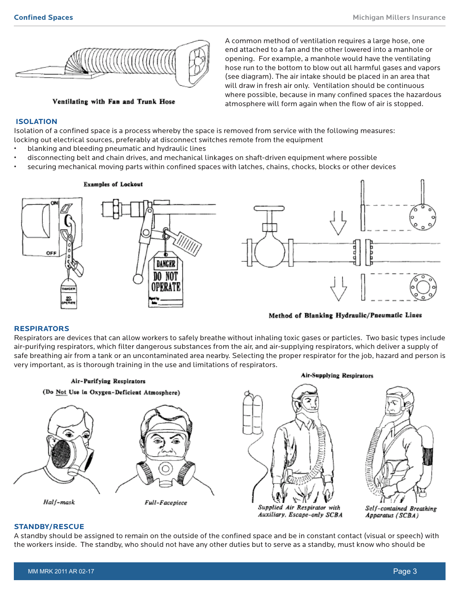

# Ventilating with Fan and Trunk Hose

# **ISOLATION**

Isolation of a confined space is a process whereby the space is removed from service with the following measures: locking out electrical sources, preferably at disconnect switches remote from the equipment

- blanking and bleeding pneumatic and hydraulic lines
- disconnecting belt and chain drives, and mechanical linkages on shaft-driven equipment where possible
- securing mechanical moving parts within confined spaces with latches, chains, chocks, blocks or other devices

# **Examples of Lockout**



Method of Blanking Hydraulic/Pneumatic Lines

A common method of ventilation requires a large hose, one end attached to a fan and the other lowered into a manhole or opening. For example, a manhole would have the ventilating hose run to the bottom to blow out all harmful gases and vapors (see diagram). The air intake should be placed in an area that will draw in fresh air only. Ventilation should be continuous where possible, because in many confined spaces the hazardous atmosphere will form again when the flow of air is stopped.

# **RESPIRATORS**

Respirators are devices that can allow workers to safely breathe without inhaling toxic gases or particles. Two basic types include air-purifying respirators, which filter dangerous substances from the air, and air-supplying respirators, which deliver a supply of safe breathing air from a tank or an uncontaminated area nearby. Selecting the proper respirator for the job, hazard and person is very important, as is thorough training in the use and limitations of respirators.



# **STANDBY/RESCUE**

A standby should be assigned to remain on the outside of the confined space and be in constant contact (visual or speech) with the workers inside. The standby, who should not have any other duties but to serve as a standby, must know who should be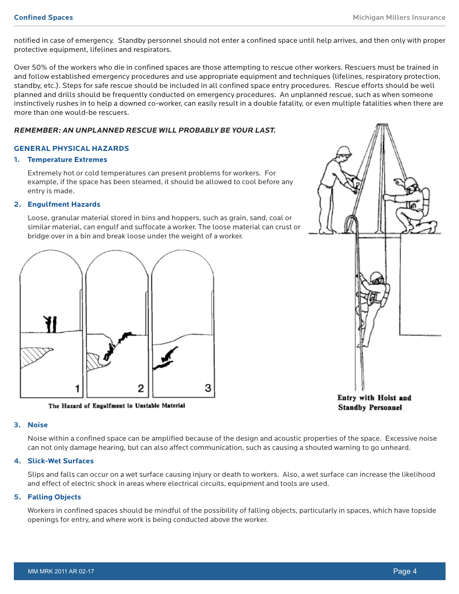notified in case of emergency. Standby personnel should not enter a confined space until help arrives, and then only with proper protective equipment, lifelines and respirators.

Over 50% of the workers who die in confined spaces are those attempting to rescue other workers. Rescuers must be trained in and follow established emergency procedures and use appropriate equipment and techniques (lifelines, respiratory protection, standby, etc.). Steps for safe rescue should be included in all confined space entry procedures. Rescue efforts should be well planned and drills should be frequently conducted on emergency procedures. An unplanned rescue, such as when someone instinctively rushes in to help a downed co-worker, can easily result in a double fatality, or even multiple fatalities when there are more than one would-be rescuers.

# *REMEMBER: AN UNPLANNED RESCUE WILL PROBABLY BE YOUR LAST.*

### **GENERAL PHYSICAL HAZARDS**

#### **1. Temperature Extremes**

Extremely hot or cold temperatures can present problems for workers. For example, if the space has been steamed, it should be allowed to cool before any entry is made.

#### **2. Engulfment Hazards**

Loose, granular material stored in bins and hoppers, such as grain, sand, coal or similar material, can engulf and suffocate a worker. The loose material can crust or bridge over in a bin and break loose under the weight of a worker.



The Hazard of Engulfment in Unstable Material



Entry with Hoist and **Standby Personnel** 

#### **3. Noise**

Noise within a confined space can be amplified because of the design and acoustic properties of the space. Excessive noise can not only damage hearing, but can also affect communication, such as causing a shouted warning to go unheard.

#### **4. Slick-Wet Surfaces**

Slips and falls can occur on a wet surface causing injury or death to workers. Also, a wet surface can increase the likelihood and effect of electric shock in areas where electrical circuits, equipment and tools are used.

#### **5. Falling Objects**

Workers in confined spaces should be mindful of the possibility of falling objects, particularly in spaces, which have topside openings for entry, and where work is being conducted above the worker.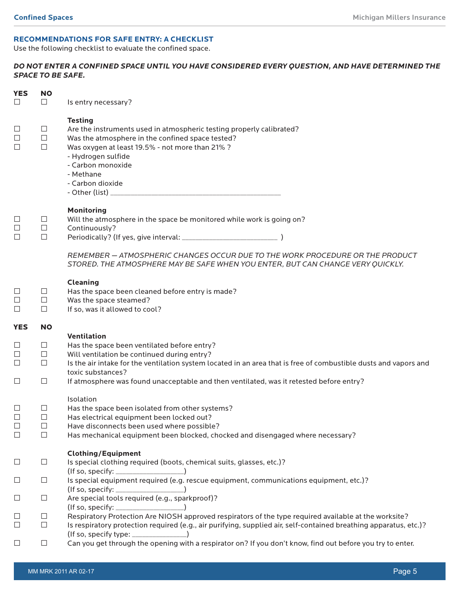# **RECOMMENDATIONS FOR SAFE ENTRY: A CHECKLIST**

Use the following checklist to evaluate the confined space.

# *DO NOT ENTER A CONFINED SPACE UNTIL YOU HAVE CONSIDERED EVERY QUESTION, AND HAVE DETERMINED THE SPACE TO BE SAFE.*

| <b>YES</b><br>$\Box$                 | <b>NO</b><br>$\Box$             | Is entry necessary?                                                                                                                                                                                                                                                                                                                                                                                                                                                                                                                               |
|--------------------------------------|---------------------------------|---------------------------------------------------------------------------------------------------------------------------------------------------------------------------------------------------------------------------------------------------------------------------------------------------------------------------------------------------------------------------------------------------------------------------------------------------------------------------------------------------------------------------------------------------|
| $\Box$<br>$\Box$<br>$\Box$           | $\Box$<br>$\Box$<br>$\Box$      | <b>Testing</b><br>Are the instruments used in atmospheric testing properly calibrated?<br>Was the atmosphere in the confined space tested?<br>Was oxygen at least 19.5% - not more than 21% ?<br>- Hydrogen sulfide<br>- Carbon monoxide<br>- Methane<br>- Carbon dioxide                                                                                                                                                                                                                                                                         |
| $\Box$<br>$\Box$<br>$\Box$           | $\Box$<br>$\Box$<br>$\Box$      | <b>Monitoring</b><br>Will the atmosphere in the space be monitored while work is going on?<br>Continuously?                                                                                                                                                                                                                                                                                                                                                                                                                                       |
|                                      |                                 | REMEMBER - ATMOSPHERIC CHANGES OCCUR DUE TO THE WORK PROCEDURE OR THE PRODUCT<br>STORED. THE ATMOSPHERE MAY BE SAFE WHEN YOU ENTER, BUT CAN CHANGE VERY QUICKLY.                                                                                                                                                                                                                                                                                                                                                                                  |
| $\Box$<br>$\Box$<br>$\Box$           | $\Box$<br>$\Box$<br>$\Box$      | <b>Cleaning</b><br>Has the space been cleaned before entry is made?<br>Was the space steamed?<br>If so, was it allowed to cool?                                                                                                                                                                                                                                                                                                                                                                                                                   |
|                                      |                                 |                                                                                                                                                                                                                                                                                                                                                                                                                                                                                                                                                   |
| <b>YES</b>                           | <b>NO</b>                       |                                                                                                                                                                                                                                                                                                                                                                                                                                                                                                                                                   |
| $\Box$<br>$\Box$<br>$\Box$           | $\Box$<br>$\Box$<br>$\Box$      | <b>Ventilation</b><br>Has the space been ventilated before entry?<br>Will ventilation be continued during entry?<br>Is the air intake for the ventilation system located in an area that is free of combustible dusts and vapors and                                                                                                                                                                                                                                                                                                              |
| $\Box$                               | $\Box$                          | toxic substances?<br>If atmosphere was found unacceptable and then ventilated, was it retested before entry?                                                                                                                                                                                                                                                                                                                                                                                                                                      |
| $\Box$<br>$\Box$<br>$\Box$<br>$\Box$ | ⊔<br>$\Box$<br>$\Box$<br>$\Box$ | Isolation<br>Has the space been isolated from other systems?<br>Has electrical equipment been locked out?<br>Have disconnects been used where possible?<br>Has mechanical equipment been blocked, chocked and disengaged where necessary?                                                                                                                                                                                                                                                                                                         |
| $\Box$                               | $\Box$                          | <b>Clothing/Equipment</b><br>Is special clothing required (boots, chemical suits, glasses, etc.)?                                                                                                                                                                                                                                                                                                                                                                                                                                                 |
| $\Box$                               | $\Box$                          | $($ If so, specify: $\_$<br>Is special equipment required (e.g. rescue equipment, communications equipment, etc.)?                                                                                                                                                                                                                                                                                                                                                                                                                                |
| $\Box$                               | $\Box$                          | $($ If so, specify: $\_$<br>Are special tools required (e.g., sparkproof)?                                                                                                                                                                                                                                                                                                                                                                                                                                                                        |
| $\Box$<br>$\Box$                     | $\Box$<br>$\Box$                | $($ If so, specify: $\frac{1}{2}$ specify: $\frac{1}{2}$ specify: $\frac{1}{2}$ specify: $\frac{1}{2}$ specify: $\frac{1}{2}$ specify: $\frac{1}{2}$ specify: $\frac{1}{2}$ specify: $\frac{1}{2}$ specify: $\frac{1}{2}$ specify: $\frac{1}{2}$ specify: $\frac{1}{2}$ s<br>Respiratory Protection Are NIOSH approved respirators of the type required available at the worksite?<br>Is respiratory protection required (e.g., air purifying, supplied air, self-contained breathing apparatus, etc.)?<br>$($ If so, specify type: $\frac{1}{2}$ |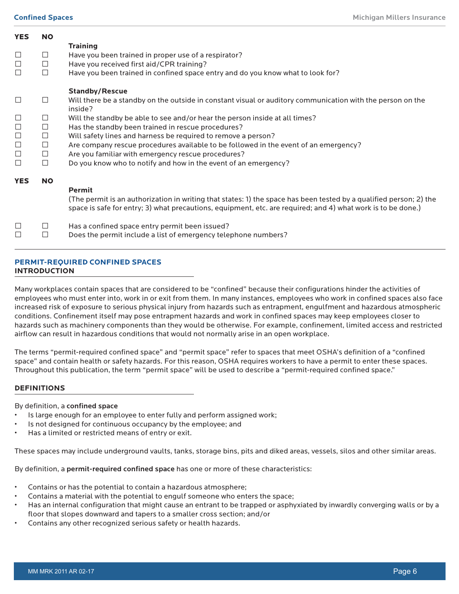| <b>YES</b> | <b>NO</b> |                                                                                                                                                                                                                                    |
|------------|-----------|------------------------------------------------------------------------------------------------------------------------------------------------------------------------------------------------------------------------------------|
| $\Box$     | $\perp$   | <b>Training</b><br>Have you been trained in proper use of a respirator?                                                                                                                                                            |
| $\Box$     | $\Box$    | Have you received first aid/CPR training?                                                                                                                                                                                          |
| $\Box$     | $\Box$    | Have you been trained in confined space entry and do you know what to look for?                                                                                                                                                    |
|            |           | <b>Standby/Rescue</b>                                                                                                                                                                                                              |
| $\Box$     | П         | Will there be a standby on the outside in constant visual or auditory communication with the person on the<br>inside?                                                                                                              |
| $\Box$     | $\Box$    | Will the standby be able to see and/or hear the person inside at all times?                                                                                                                                                        |
| $\Box$     | $\Box$    | Has the standby been trained in rescue procedures?                                                                                                                                                                                 |
| $\Box$     | $\Box$    | Will safety lines and harness be required to remove a person?                                                                                                                                                                      |
| $\Box$     | $\Box$    | Are company rescue procedures available to be followed in the event of an emergency?                                                                                                                                               |
| $\Box$     | □         | Are you familiar with emergency rescue procedures?                                                                                                                                                                                 |
| $\Box$     | П         | Do you know who to notify and how in the event of an emergency?                                                                                                                                                                    |
| <b>YES</b> | <b>NO</b> |                                                                                                                                                                                                                                    |
|            |           | <b>Permit</b>                                                                                                                                                                                                                      |
|            |           | (The permit is an authorization in writing that states: 1) the space has been tested by a qualified person; 2) the<br>space is safe for entry; 3) what precautions, equipment, etc. are required; and 4) what work is to be done.) |
| $\Box$     | $\perp$   | Has a confined space entry permit been issued?                                                                                                                                                                                     |
| $\Box$     | $\Box$    | Does the permit include a list of emergency telephone numbers?                                                                                                                                                                     |

# **PERMIT-REQUIRED CONFINED SPACES INTRODUCTION**

Many workplaces contain spaces that are considered to be "confined" because their configurations hinder the activities of employees who must enter into, work in or exit from them. In many instances, employees who work in confined spaces also face increased risk of exposure to serious physical injury from hazards such as entrapment, engulfment and hazardous atmospheric conditions. Confinement itself may pose entrapment hazards and work in confined spaces may keep employees closer to hazards such as machinery components than they would be otherwise. For example, confinement, limited access and restricted airflow can result in hazardous conditions that would not normally arise in an open workplace.

The terms "permit-required confined space" and "permit space" refer to spaces that meet OSHA's definition of a "confined space" and contain health or safety hazards. For this reason, OSHA requires workers to have a permit to enter these spaces. Throughout this publication, the term "permit space" will be used to describe a "permit-required confined space."

# **DEFINITIONS**

Ī

By definition, a confined space

- Is large enough for an employee to enter fully and perform assigned work;
- Is not designed for continuous occupancy by the employee; and
- Has a limited or restricted means of entry or exit.

These spaces may include underground vaults, tanks, storage bins, pits and diked areas, vessels, silos and other similar areas.

By definition, a permit-required confined space has one or more of these characteristics:

- Contains or has the potential to contain a hazardous atmosphere;
- Contains a material with the potential to engulf someone who enters the space;
- Has an internal configuration that might cause an entrant to be trapped or asphyxiated by inwardly converging walls or by a floor that slopes downward and tapers to a smaller cross section; and/or
- Contains any other recognized serious safety or health hazards.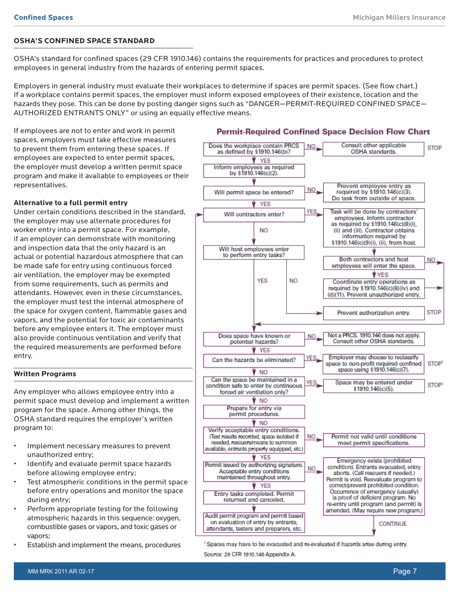# **OSHA'S CONFINED SPACE STANDARD**

OSHA's standard for confined spaces (29 CFR 1910.146) contains the requirements for practices and procedures to protect employees in general industry from the hazards of entering permit spaces.

Employers in general industry must evaluate their workplaces to determine if spaces are permit spaces. (See flow chart.) If a workplace contains permit spaces, the employer must inform exposed employees of their existence, location and the hazards they pose. This can be done by posting danger signs such as "DANGER—PERMIT-REQUIRED CONFINED SPACE— AUTHORIZED ENTRANTS ONLY" or using an equally effective means.

If employees are not to enter and work in permit spaces, employers must take effective measures to prevent them from entering these spaces. If employees are expected to enter permit spaces, the employer must develop a written permit space program and make it available to employees or their representatives.

#### Does the workplace contain PRCS Consult other applicable NO. **STOP** as defined by \$1910.146(b)? OSHA standards. **V** YES Inform employees as required by \$1910.146(c)(2). Prevent employee entry as **NO** required by \$1910.146(c)(3). Will permit space be entered? Do task from outside of space. **V** YES YES Task will be done by contractors Will contractors enter? employees. Inform contractor as required by §1910.146(c)(8)(i), (ii) and (iii). Contractor obtains N<sub>O</sub> information required by §1910.146(c)(9)(i), (ii), from host. Will host employees enter to perform entry tasks? Both contractors and host  $NO<sub>2</sub>$ employees will enter the space. V YES **YES NO** Coordinate entry operations as required by §1910.146(c)(8)(iv) and (d)(11). Prevent unauthorized entry. **STOP** Prevent authorization entry. Not a PRCS. 1910.146 does not apply. Does space have known or **NO** Consult other OSHA standards. potential hazards? **YES** Employer may choose to reclassify YES Can the hazards be eliminated? STOP<sup>1</sup> space to non-profit required confined space using §1910.146(c)(7). **NO** Can the space be maintained in a YES, Space may be entered under STOP<sup>1</sup> condition safe to enter by continuous  $$1910.146(c)(5).$ forced air ventilation only? N<sub>O</sub> Prepare for entry via permit procedures. ΝO Verify acceptable entry conditions. (Test results recorded, space isolated if NO, Permit not valid until conditions needed, rescuers/means to summon meet permit specifications. available, entrants properly equipped, etc.) **YES** Emergency exists (prohibited Permit issued by authorizing signature.  $NO<sub>2</sub>$ condition). Entrants evacuated, entry Acceptable entry conditions aborts. (Call rescuers if needed.) maintained throughout entry. Permit is void. Reevaluate program to **YES** correct/prevent prohibited condition. Occurrence of emergency (usually) Entry tasks completed. Permit is proof of deficient program. No returned and canceled. re-entry until program (and permit) is amended. (May require new program.) Audit permit program and permit based on evaluation of entry by entrants, **CONTINUE** attendants, testers and preparers, etc.

# **Alternative to a full permit entry**

Under certain conditions described in the standard, the employer may use alternate procedures for worker entry into a permit space. For example, if an employer can demonstrate with monitoring and inspection data that the only hazard is an actual or potential hazardous atmosphere that can be made safe for entry using continuous forced air ventilation, the employer may be exempted from some requirements, such as permits and attendants. However, even in these circumstances, the employer must test the internal atmosphere of the space for oxygen content, flammable gases and vapors, and the potential for toxic air contaminants before any employee enters it. The employer must also provide continuous ventilation and verify that the required measurements are performed before entry.

# **Written Programs**

Ī

Any employer who allows employee entry into a permit space must develop and implement a written program for the space. Among other things, the OSHA standard requires the employer's written program to:

- Implement necessary measures to prevent unauthorized entry;
- Identify and evaluate permit space hazards before allowing employee entry;
- Test atmospheric conditions in the permit space before entry operations and monitor the space during entry;
- Perform appropriate testing for the following atmospheric hazards in this sequence: oxygen, combustible gases or vapors, and toxic gases or vapors;
- Establish and implement the means, procedures

<sup>1</sup> Spaces may have to be evacuated and re-evaluated if hazards arise during entry. Source: 29 CFR 1910.146 Appendix A.

# **Permit-Required Confined Space Decision Flow Chart**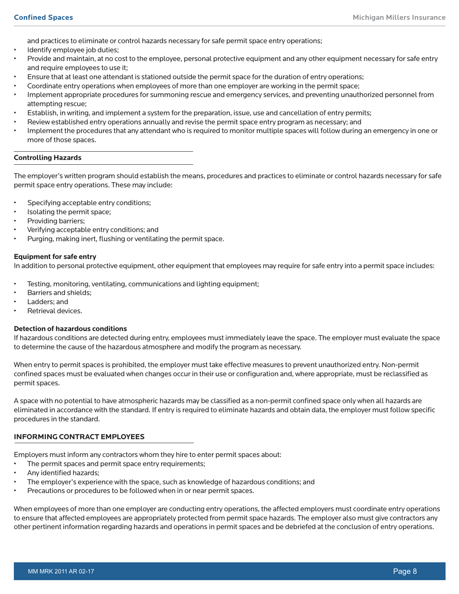and practices to eliminate or control hazards necessary for safe permit space entry operations;

- Identify employee job duties;
- Provide and maintain, at no cost to the employee, personal protective equipment and any other equipment necessary for safe entry and require employees to use it;
- Ensure that at least one attendant is stationed outside the permit space for the duration of entry operations;
- Coordinate entry operations when employees of more than one employer are working in the permit space;
- Implement appropriate procedures for summoning rescue and emergency services, and preventing unauthorized personnel from attempting rescue;
- Establish, in writing, and implement a system for the preparation, issue, use and cancellation of entry permits;
- Review established entry operations annually and revise the permit space entry program as necessary; and
- Implement the procedures that any attendant who is required to monitor multiple spaces will follow during an emergency in one or more of those spaces.

#### **Controlling Hazards**

Ī

The employer's written program should establish the means, procedures and practices to eliminate or control hazards necessary for safe permit space entry operations. These may include:

- Specifying acceptable entry conditions;
- Isolating the permit space;
- Providing barriers;
- Verifying acceptable entry conditions; and
- Purging, making inert, flushing or ventilating the permit space.

#### **Equipment for safe entry**

In addition to personal protective equipment, other equipment that employees may require for safe entry into a permit space includes:

- Testing, monitoring, ventilating, communications and lighting equipment;
- Barriers and shields;
- Ladders; and
- Retrieval devices.

#### **Detection of hazardous conditions**

If hazardous conditions are detected during entry, employees must immediately leave the space. The employer must evaluate the space to determine the cause of the hazardous atmosphere and modify the program as necessary.

When entry to permit spaces is prohibited, the employer must take effective measures to prevent unauthorized entry. Non-permit confined spaces must be evaluated when changes occur in their use or configuration and, where appropriate, must be reclassified as permit spaces.

A space with no potential to have atmospheric hazards may be classified as a non-permit confined space only when all hazards are eliminated in accordance with the standard. If entry is required to eliminate hazards and obtain data, the employer must follow specific procedures in the standard.

# **INFORMING CONTRACT EMPLOYEES**

Employers must inform any contractors whom they hire to enter permit spaces about:

- The permit spaces and permit space entry requirements;
- Any identified hazards;
- The employer's experience with the space, such as knowledge of hazardous conditions; and
- Precautions or procedures to be followed when in or near permit spaces.

When employees of more than one employer are conducting entry operations, the affected employers must coordinate entry operations to ensure that affected employees are appropriately protected from permit space hazards. The employer also must give contractors any other pertinent information regarding hazards and operations in permit spaces and be debriefed at the conclusion of entry operations.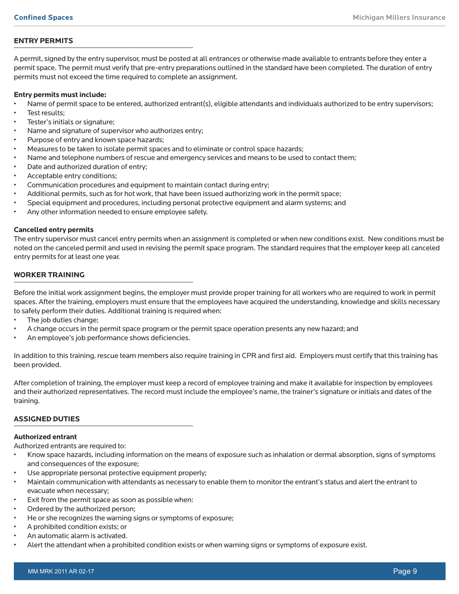# **ENTRY PERMITS**

j

A permit, signed by the entry supervisor, must be posted at all entrances or otherwise made available to entrants before they enter a permit space. The permit must verify that pre-entry preparations outlined in the standard have been completed. The duration of entry permits must not exceed the time required to complete an assignment.

# **Entry permits must include:**

- Name of permit space to be entered, authorized entrant(s), eligible attendants and individuals authorized to be entry supervisors;
- Test results:
- Tester's initials or signature;
- Name and signature of supervisor who authorizes entry;
- Purpose of entry and known space hazards;
- Measures to be taken to isolate permit spaces and to eliminate or control space hazards;
- Name and telephone numbers of rescue and emergency services and means to be used to contact them;
- Date and authorized duration of entry;
- Acceptable entry conditions;
- Communication procedures and equipment to maintain contact during entry;
- Additional permits, such as for hot work, that have been issued authorizing work in the permit space;
- Special equipment and procedures, including personal protective equipment and alarm systems; and
- Any other information needed to ensure employee safety.

# **Cancelled entry permits**

The entry supervisor must cancel entry permits when an assignment is completed or when new conditions exist. New conditions must be noted on the canceled permit and used in revising the permit space program. The standard requires that the employer keep all canceled entry permits for at least one year.

# **WORKER TRAINING**

j

Before the initial work assignment begins, the employer must provide proper training for all workers who are required to work in permit spaces. After the training, employers must ensure that the employees have acquired the understanding, knowledge and skills necessary to safely perform their duties. Additional training is required when:

- The job duties change;
- A change occurs in the permit space program or the permit space operation presents any new hazard; and
- An employee's job performance shows deficiencies.

In addition to this training, rescue team members also require training in CPR and first aid. Employers must certify that this training has been provided.

After completion of training, the employer must keep a record of employee training and make it available for inspection by employees and their authorized representatives. The record must include the employee's name, the trainer's signature or initials and dates of the training.

# **ASSIGNED DUTIES**

#### **Authorized entrant**

Authorized entrants are required to:

- Know space hazards, including information on the means of exposure such as inhalation or dermal absorption, signs of symptoms and consequences of the exposure;
- Use appropriate personal protective equipment properly;
- Maintain communication with attendants as necessary to enable them to monitor the entrant's status and alert the entrant to evacuate when necessary;
- Exit from the permit space as soon as possible when:
- Ordered by the authorized person;
- He or she recognizes the warning signs or symptoms of exposure;
- A prohibited condition exists; or
- An automatic alarm is activated.
- Alert the attendant when a prohibited condition exists or when warning signs or symptoms of exposure exist.